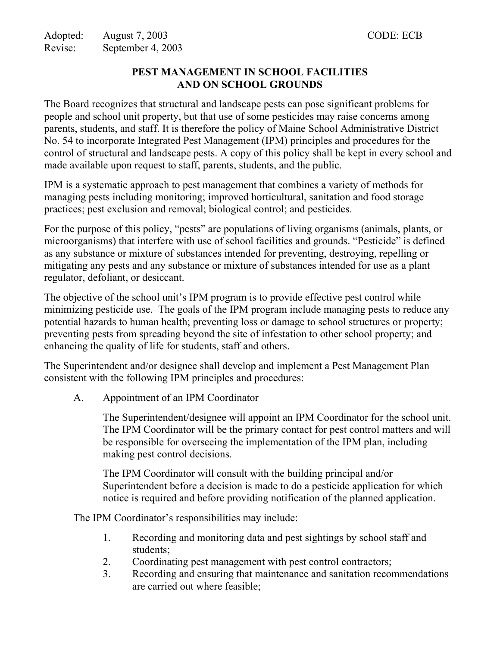## **PEST MANAGEMENT IN SCHOOL FACILITIES AND ON SCHOOL GROUNDS**

The Board recognizes that structural and landscape pests can pose significant problems for people and school unit property, but that use of some pesticides may raise concerns among parents, students, and staff. It is therefore the policy of Maine School Administrative District No. 54 to incorporate Integrated Pest Management (IPM) principles and procedures for the control of structural and landscape pests. A copy of this policy shall be kept in every school and made available upon request to staff, parents, students, and the public.

IPM is a systematic approach to pest management that combines a variety of methods for managing pests including monitoring; improved horticultural, sanitation and food storage practices; pest exclusion and removal; biological control; and pesticides.

For the purpose of this policy, "pests" are populations of living organisms (animals, plants, or microorganisms) that interfere with use of school facilities and grounds. "Pesticide" is defined as any substance or mixture of substances intended for preventing, destroying, repelling or mitigating any pests and any substance or mixture of substances intended for use as a plant regulator, defoliant, or desiccant.

The objective of the school unit's IPM program is to provide effective pest control while minimizing pesticide use. The goals of the IPM program include managing pests to reduce any potential hazards to human health; preventing loss or damage to school structures or property; preventing pests from spreading beyond the site of infestation to other school property; and enhancing the quality of life for students, staff and others.

The Superintendent and/or designee shall develop and implement a Pest Management Plan consistent with the following IPM principles and procedures:

A. Appointment of an IPM Coordinator

The Superintendent/designee will appoint an IPM Coordinator for the school unit. The IPM Coordinator will be the primary contact for pest control matters and will be responsible for overseeing the implementation of the IPM plan, including making pest control decisions.

The IPM Coordinator will consult with the building principal and/or Superintendent before a decision is made to do a pesticide application for which notice is required and before providing notification of the planned application.

The IPM Coordinator's responsibilities may include:

- 1. Recording and monitoring data and pest sightings by school staff and students;
- 2. Coordinating pest management with pest control contractors;
- 3. Recording and ensuring that maintenance and sanitation recommendations are carried out where feasible;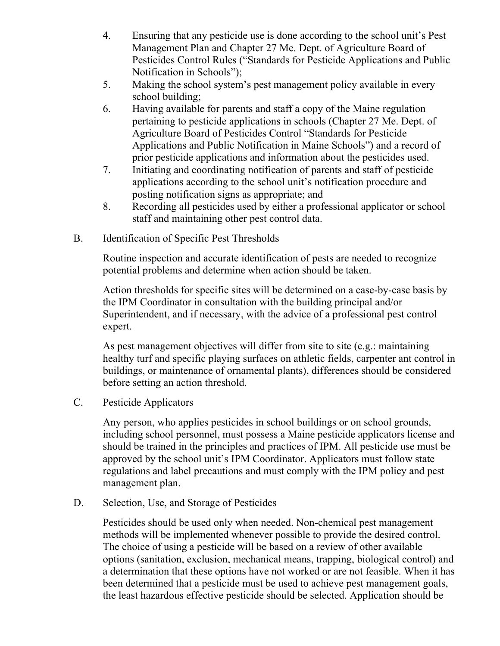- 4. Ensuring that any pesticide use is done according to the school unit's Pest Management Plan and Chapter 27 Me. Dept. of Agriculture Board of Pesticides Control Rules ("Standards for Pesticide Applications and Public Notification in Schools");
- 5. Making the school system's pest management policy available in every school building;
- 6. Having available for parents and staff a copy of the Maine regulation pertaining to pesticide applications in schools (Chapter 27 Me. Dept. of Agriculture Board of Pesticides Control "Standards for Pesticide Applications and Public Notification in Maine Schools") and a record of prior pesticide applications and information about the pesticides used.
- 7. Initiating and coordinating notification of parents and staff of pesticide applications according to the school unit's notification procedure and posting notification signs as appropriate; and
- 8. Recording all pesticides used by either a professional applicator or school staff and maintaining other pest control data.
- B. Identification of Specific Pest Thresholds

Routine inspection and accurate identification of pests are needed to recognize potential problems and determine when action should be taken.

Action thresholds for specific sites will be determined on a case-by-case basis by the IPM Coordinator in consultation with the building principal and/or Superintendent, and if necessary, with the advice of a professional pest control expert.

As pest management objectives will differ from site to site (e.g.: maintaining healthy turf and specific playing surfaces on athletic fields, carpenter ant control in buildings, or maintenance of ornamental plants), differences should be considered before setting an action threshold.

C. Pesticide Applicators

Any person, who applies pesticides in school buildings or on school grounds, including school personnel, must possess a Maine pesticide applicators license and should be trained in the principles and practices of IPM. All pesticide use must be approved by the school unit's IPM Coordinator. Applicators must follow state regulations and label precautions and must comply with the IPM policy and pest management plan.

D. Selection, Use, and Storage of Pesticides

Pesticides should be used only when needed. Non-chemical pest management methods will be implemented whenever possible to provide the desired control. The choice of using a pesticide will be based on a review of other available options (sanitation, exclusion, mechanical means, trapping, biological control) and a determination that these options have not worked or are not feasible. When it has been determined that a pesticide must be used to achieve pest management goals, the least hazardous effective pesticide should be selected. Application should be